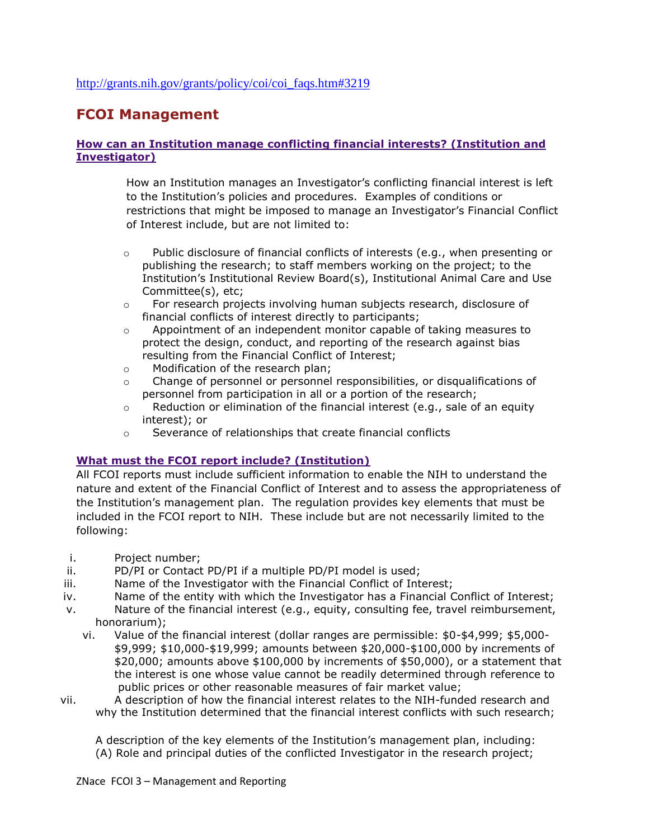# **FCOI Management**

### **[How can an Institution manage conflicting financial interests? \(Institution and](http://grants.nih.gov/grants/policy/coi/coi_faqs.htm#3202)  [Investigator\)](http://grants.nih.gov/grants/policy/coi/coi_faqs.htm#3202)**

How an Institution manages an Investigator's conflicting financial interest is left to the Institution's policies and procedures. Examples of conditions or restrictions that might be imposed to manage an Investigator's Financial Conflict of Interest include, but are not limited to:

- $\circ$  Public disclosure of financial conflicts of interests (e.g., when presenting or publishing the research; to staff members working on the project; to the Institution's Institutional Review Board(s), Institutional Animal Care and Use Committee(s), etc;
- $\circ$  For research projects involving human subjects research, disclosure of financial conflicts of interest directly to participants;
- $\circ$  Appointment of an independent monitor capable of taking measures to protect the design, conduct, and reporting of the research against bias resulting from the Financial Conflict of Interest;
- o Modification of the research plan;
- $\circ$  Change of personnel or personnel responsibilities, or disqualifications of personnel from participation in all or a portion of the research;
- $\circ$  Reduction or elimination of the financial interest (e.g., sale of an equity interest); or
- o Severance of relationships that create financial conflicts

## **[What must the FCOI report include? \(Institution\)](http://grants.nih.gov/grants/policy/coi/coi_faqs.htm#3212)**

All FCOI reports must include sufficient information to enable the NIH to understand the nature and extent of the Financial Conflict of Interest and to assess the appropriateness of the Institution's management plan. The regulation provides key elements that must be included in the FCOI report to NIH. These include but are not necessarily limited to the following:

- i. Project number;
- ii. PD/PI or Contact PD/PI if a multiple PD/PI model is used;
- iii. Name of the Investigator with the Financial Conflict of Interest;
- iv. Name of the entity with which the Investigator has a Financial Conflict of Interest;
- v. Nature of the financial interest (e.g., equity, consulting fee, travel reimbursement, honorarium);
	- vi. Value of the financial interest (dollar ranges are permissible: \$0-\$4,999; \$5,000- \$9,999; \$10,000-\$19,999; amounts between \$20,000-\$100,000 by increments of \$20,000; amounts above \$100,000 by increments of \$50,000), or a statement that the interest is one whose value cannot be readily determined through reference to public prices or other reasonable measures of fair market value;
- vii. A description of how the financial interest relates to the NIH-funded research and why the Institution determined that the financial interest conflicts with such research;

A description of the key elements of the Institution's management plan, including: (A) Role and principal duties of the conflicted Investigator in the research project;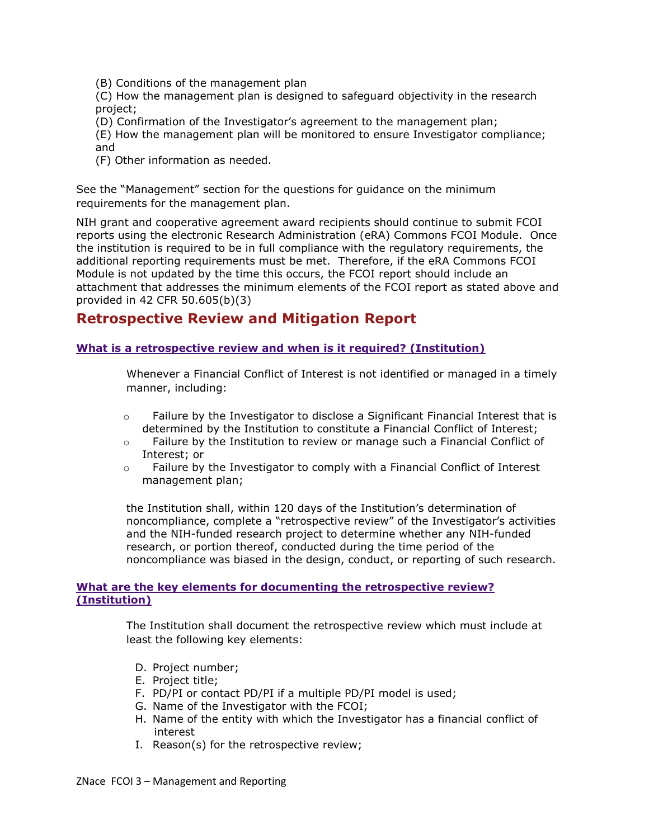- (B) Conditions of the management plan
- (C) How the management plan is designed to safeguard objectivity in the research project;
- (D) Confirmation of the Investigator's agreement to the management plan;
- (E) How the management plan will be monitored to ensure Investigator compliance; and
- (F) Other information as needed.

See the "Management" section for the questions for guidance on the minimum requirements for the management plan.

NIH grant and cooperative agreement award recipients should continue to submit FCOI reports using the electronic Research Administration (eRA) Commons FCOI Module. Once the institution is required to be in full compliance with the regulatory requirements, the additional reporting requirements must be met. Therefore, if the eRA Commons FCOI Module is not updated by the time this occurs, the FCOI report should include an attachment that addresses the minimum elements of the FCOI report as stated above and provided in 42 CFR 50.605(b)(3)

## **Retrospective Review and Mitigation Report**

### **[What is a retrospective review and when is it required? \(Institution\)](http://grants.nih.gov/grants/policy/coi/coi_faqs.htm#3218)**

Whenever a Financial Conflict of Interest is not identified or managed in a timely manner, including:

- $\circ$  Failure by the Investigator to disclose a Significant Financial Interest that is determined by the Institution to constitute a Financial Conflict of Interest;
- $\circ$  Failure by the Institution to review or manage such a Financial Conflict of Interest; or
- $\circ$  Failure by the Investigator to comply with a Financial Conflict of Interest management plan;

the Institution shall, within 120 days of the Institution's determination of noncompliance, complete a "retrospective review" of the Investigator's activities and the NIH-funded research project to determine whether any NIH-funded research, or portion thereof, conducted during the time period of the noncompliance was biased in the design, conduct, or reporting of such research.

#### **[What are the key elements for documenting the retrospective review?](http://grants.nih.gov/grants/policy/coi/coi_faqs.htm#3219)  [\(Institution\)](http://grants.nih.gov/grants/policy/coi/coi_faqs.htm#3219)**

The Institution shall document the retrospective review which must include at least the following key elements:

- D. Project number;
- E. Project title;
- F. PD/PI or contact PD/PI if a multiple PD/PI model is used;
- G. Name of the Investigator with the FCOI;
- H. Name of the entity with which the Investigator has a financial conflict of interest
- I. Reason(s) for the retrospective review;